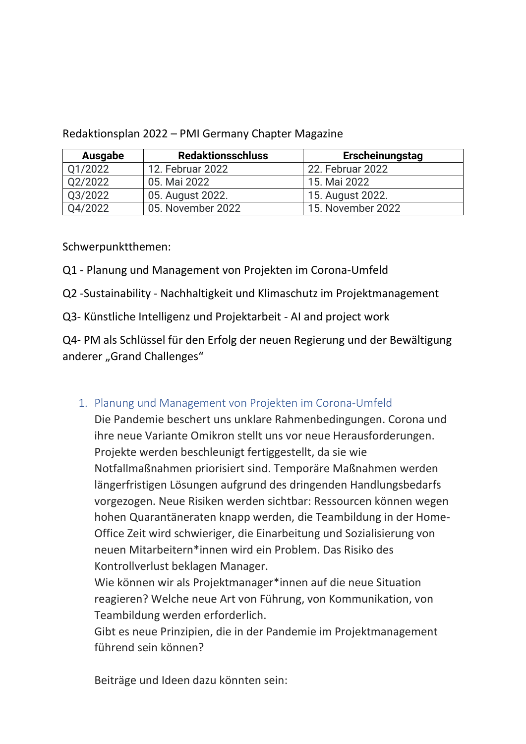| Ausgabe | <b>Redaktionsschluss</b> | Erscheinungstag   |
|---------|--------------------------|-------------------|
| Q1/2022 | 12. Februar 2022         | 22. Februar 2022  |
| Q2/2022 | 05. Mai 2022             | 15. Mai 2022      |
| Q3/2022 | 05. August 2022.         | 15. August 2022.  |
| Q4/2022 | 05. November 2022        | 15. November 2022 |

Redaktionsplan 2022 – PMI Germany Chapter Magazine

Schwerpunktthemen:

Q1 - Planung und Management von Projekten im Corona-Umfeld

Q2 -Sustainability - Nachhaltigkeit und Klimaschutz im Projektmanagement

Q3- Künstliche Intelligenz und Projektarbeit - AI and project work

Q4- PM als Schlüssel für den Erfolg der neuen Regierung und der Bewältigung anderer "Grand Challenges"

## 1. Planung und Management von Projekten im Corona-Umfeld

Die Pandemie beschert uns unklare Rahmenbedingungen. Corona und ihre neue Variante Omikron stellt uns vor neue Herausforderungen. Projekte werden beschleunigt fertiggestellt, da sie wie Notfallmaßnahmen priorisiert sind. Temporäre Maßnahmen werden längerfristigen Lösungen aufgrund des dringenden Handlungsbedarfs vorgezogen. Neue Risiken werden sichtbar: Ressourcen können wegen hohen Quarantäneraten knapp werden, die Teambildung in der Home-Office Zeit wird schwieriger, die Einarbeitung und Sozialisierung von neuen Mitarbeitern\*innen wird ein Problem. Das Risiko des Kontrollverlust beklagen Manager.

Wie können wir als Projektmanager\*innen auf die neue Situation reagieren? Welche neue Art von Führung, von Kommunikation, von Teambildung werden erforderlich.

Gibt es neue Prinzipien, die in der Pandemie im Projektmanagement führend sein können?

Beiträge und Ideen dazu könnten sein: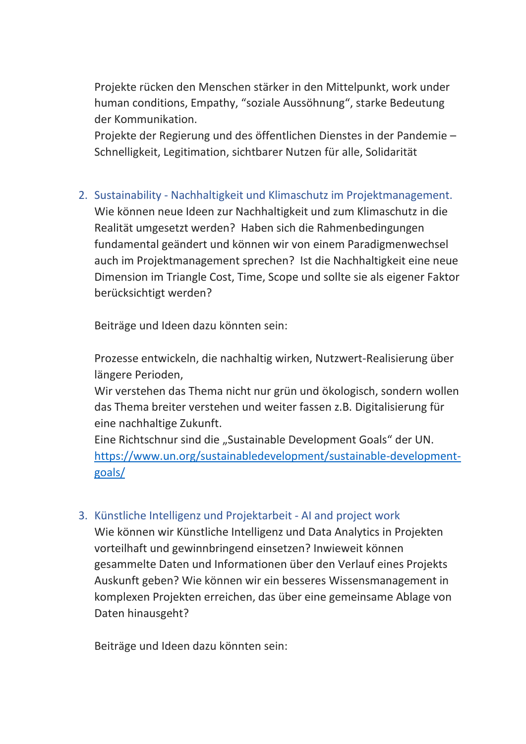Projekte rücken den Menschen stärker in den Mittelpunkt, work under human conditions, Empathy, "soziale Aussöhnung", starke Bedeutung der Kommunikation.

Projekte der Regierung und des öffentlichen Dienstes in der Pandemie – Schnelligkeit, Legitimation, sichtbarer Nutzen für alle, Solidarität

2. Sustainability - Nachhaltigkeit und Klimaschutz im Projektmanagement. Wie können neue Ideen zur Nachhaltigkeit und zum Klimaschutz in die Realität umgesetzt werden? Haben sich die Rahmenbedingungen fundamental geändert und können wir von einem Paradigmenwechsel auch im Projektmanagement sprechen? Ist die Nachhaltigkeit eine neue Dimension im Triangle Cost, Time, Scope und sollte sie als eigener Faktor berücksichtigt werden?

Beiträge und Ideen dazu könnten sein:

Prozesse entwickeln, die nachhaltig wirken, Nutzwert-Realisierung über längere Perioden,

Wir verstehen das Thema nicht nur grün und ökologisch, sondern wollen das Thema breiter verstehen und weiter fassen z.B. Digitalisierung für eine nachhaltige Zukunft.

Eine Richtschnur sind die "Sustainable Development Goals" der UN. [https://www.un.org/sustainabledevelopment/sustainable-development](https://www.un.org/sustainabledevelopment/sustainable-development-goals/)[goals/](https://www.un.org/sustainabledevelopment/sustainable-development-goals/)

## 3. Künstliche Intelligenz und Projektarbeit - AI and project work

Wie können wir Künstliche Intelligenz und Data Analytics in Projekten vorteilhaft und gewinnbringend einsetzen? Inwieweit können gesammelte Daten und Informationen über den Verlauf eines Projekts Auskunft geben? Wie können wir ein besseres Wissensmanagement in komplexen Projekten erreichen, das über eine gemeinsame Ablage von Daten hinausgeht?

Beiträge und Ideen dazu könnten sein: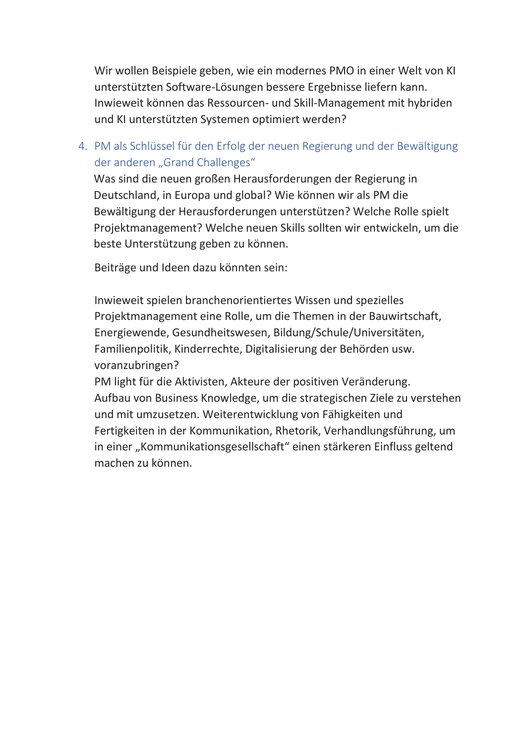Wir wollen Beispiele geben, wie ein modernes PMO in einer Welt von KI unterstützten Software-Lösungen bessere Ergebnisse liefern kann. Inwieweit können das Ressourcen- und Skill-Management mit hybriden und KI unterstützten Systemen optimiert werden?

4. PM als Schlüssel für den Erfolg der neuen Regierung und der Bewältigung der anderen "Grand Challenges"

Was sind die neuen großen Herausforderungen der Regierung in Deutschland, in Europa und global? Wie können wir als PM die Bewältigung der Herausforderungen unterstützen? Welche Rolle spielt Projektmanagement? Welche neuen Skills sollten wir entwickeln, um die beste Unterstützung geben zu können.

Beiträge und Ideen dazu könnten sein:

Inwieweit spielen branchenorientiertes Wissen und spezielles Projektmanagement eine Rolle, um die Themen in der Bauwirtschaft, Energiewende, Gesundheitswesen, Bildung/Schule/Universitäten, Familienpolitik, Kinderrechte, Digitalisierung der Behörden usw. voranzubringen?

PM light für die Aktivisten, Akteure der positiven Veränderung. Aufbau von Business Knowledge, um die strategischen Ziele zu verstehen und mit umzusetzen. Weiterentwicklung von Fähigkeiten und Fertigkeiten in der Kommunikation, Rhetorik, Verhandlungsführung, um in einer "Kommunikationsgesellschaft" einen stärkeren Einfluss geltend machen zu können.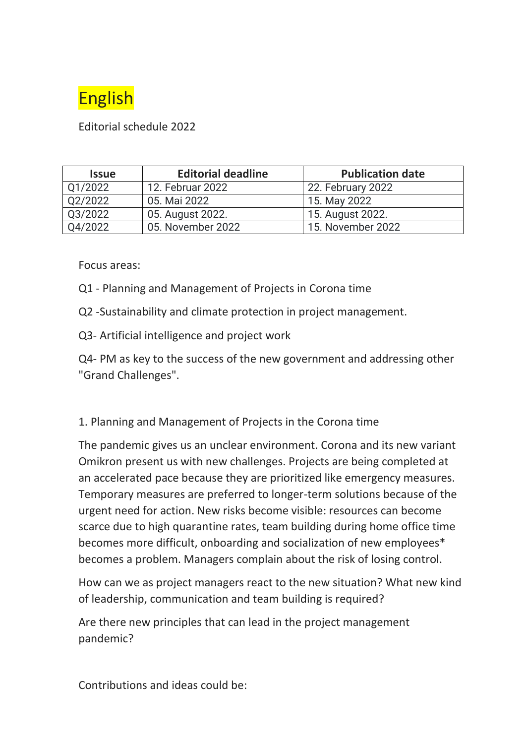

Editorial schedule 2022

| <b>Issue</b> | <b>Editorial deadline</b> | <b>Publication date</b> |
|--------------|---------------------------|-------------------------|
| Q1/2022      | 12. Februar 2022          | 22. February 2022       |
| Q2/2022      | 05. Mai 2022              | 15. May 2022            |
| Q3/2022      | 05. August 2022.          | 15. August 2022.        |
| Q4/2022      | 05. November 2022         | 15. November 2022       |

Focus areas:

- Q1 Planning and Management of Projects in Corona time
- Q2 -Sustainability and climate protection in project management.
- Q3- Artificial intelligence and project work

Q4- PM as key to the success of the new government and addressing other "Grand Challenges".

## 1. Planning and Management of Projects in the Corona time

The pandemic gives us an unclear environment. Corona and its new variant Omikron present us with new challenges. Projects are being completed at an accelerated pace because they are prioritized like emergency measures. Temporary measures are preferred to longer-term solutions because of the urgent need for action. New risks become visible: resources can become scarce due to high quarantine rates, team building during home office time becomes more difficult, onboarding and socialization of new employees\* becomes a problem. Managers complain about the risk of losing control.

How can we as project managers react to the new situation? What new kind of leadership, communication and team building is required?

Are there new principles that can lead in the project management pandemic?

Contributions and ideas could be: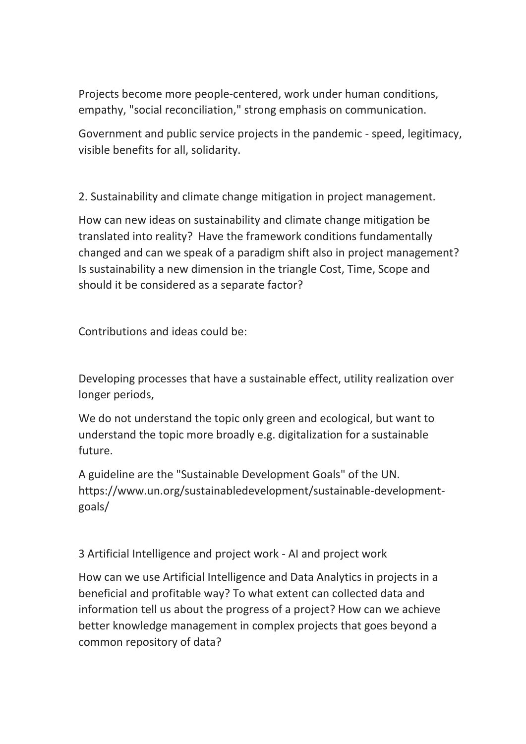Projects become more people-centered, work under human conditions, empathy, "social reconciliation," strong emphasis on communication.

Government and public service projects in the pandemic - speed, legitimacy, visible benefits for all, solidarity.

2. Sustainability and climate change mitigation in project management.

How can new ideas on sustainability and climate change mitigation be translated into reality? Have the framework conditions fundamentally changed and can we speak of a paradigm shift also in project management? Is sustainability a new dimension in the triangle Cost, Time, Scope and should it be considered as a separate factor?

Contributions and ideas could be:

Developing processes that have a sustainable effect, utility realization over longer periods,

We do not understand the topic only green and ecological, but want to understand the topic more broadly e.g. digitalization for a sustainable future.

A guideline are the "Sustainable Development Goals" of the UN. https://www.un.org/sustainabledevelopment/sustainable-developmentgoals/

3 Artificial Intelligence and project work - AI and project work

How can we use Artificial Intelligence and Data Analytics in projects in a beneficial and profitable way? To what extent can collected data and information tell us about the progress of a project? How can we achieve better knowledge management in complex projects that goes beyond a common repository of data?